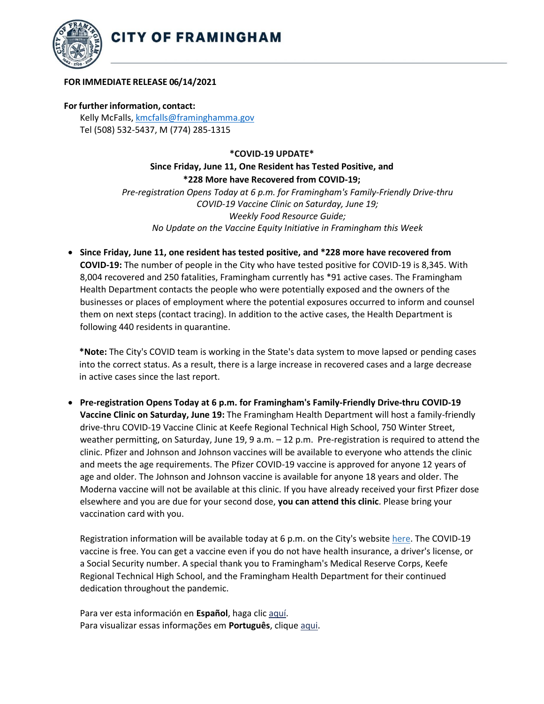

## **FOR IMMEDIATE RELEASE 06/14/2021**

**For further information, contact:** Kelly McFalls[, kmcfalls@framinghamma.gov](mailto:kmcfalls@framinghamma.gov) Tel (508) 532-5437, M (774) 285-1315

**\*COVID-19 UPDATE\***

**Since Friday, June 11, One Resident has Tested Positive, and \*228 More have Recovered from COVID-19;** 

*Pre-registration Opens Today at 6 p.m. for Framingham's Family-Friendly Drive-thru COVID-19 Vaccine Clinic on Saturday, June 19; Weekly Food Resource Guide; No Update on the Vaccine Equity Initiative in Framingham this Week*

• **Since Friday, June 11, one resident has tested positive, and \*228 more have recovered from COVID-19:** The number of people in the City who have tested positive for COVID-19 is 8,345. With 8,004 recovered and 250 fatalities, Framingham currently has \*91 active cases. The Framingham Health Department contacts the people who were potentially exposed and the owners of the businesses or places of employment where the potential exposures occurred to inform and counsel them on next steps (contact tracing). In addition to the active cases, the Health Department is following 440 residents in quarantine.

**\*Note:** The City's COVID team is working in the State's data system to move lapsed or pending cases into the correct status. As a result, there is a large increase in recovered cases and a large decrease in active cases since the last report.

• **Pre-registration Opens Today at 6 p.m. for Framingham's Family-Friendly Drive-thru COVID-19 Vaccine Clinic on Saturday, June 19:** The Framingham Health Department will host a family-friendly drive-thru COVID-19 Vaccine Clinic at Keefe Regional Technical High School, 750 Winter Street, weather permitting, on Saturday, June 19, 9 a.m. – 12 p.m. Pre-registration is required to attend the clinic. Pfizer and Johnson and Johnson vaccines will be available to everyone who attends the clinic and meets the age requirements. The Pfizer COVID-19 vaccine is approved for anyone 12 years of age and older. The Johnson and Johnson vaccine is available for anyone 18 years and older. The Moderna vaccine will not be available at this clinic. If you have already received your first Pfizer dose elsewhere and you are due for your second dose, **you can attend this clinic**. Please bring your vaccination card with you.

Registration information will be available today at 6 p.m. on the City's website [here.](https://www.framinghamma.gov/3214/COVID-19-Vaccine-Information) The COVID-19 vaccine is free. You can get a vaccine even if you do not have health insurance, a driver's license, or a Social Security number. A special thank you to Framingham's Medical Reserve Corps, Keefe Regional Technical High School, and the Framingham Health Department for their continued dedication throughout the pandemic.

Para ver esta información en **Español**, haga clic [aquí.](https://www.framinghamma.gov/DocumentCenter/View/42375/Vax-Clinic-For-Translation-ESP) Para visualizar essas informações em **Português**, clique [aqui.](https://www.framinghamma.gov/DocumentCenter/View/42374/Vax-Clinic-For-Translation-Port)